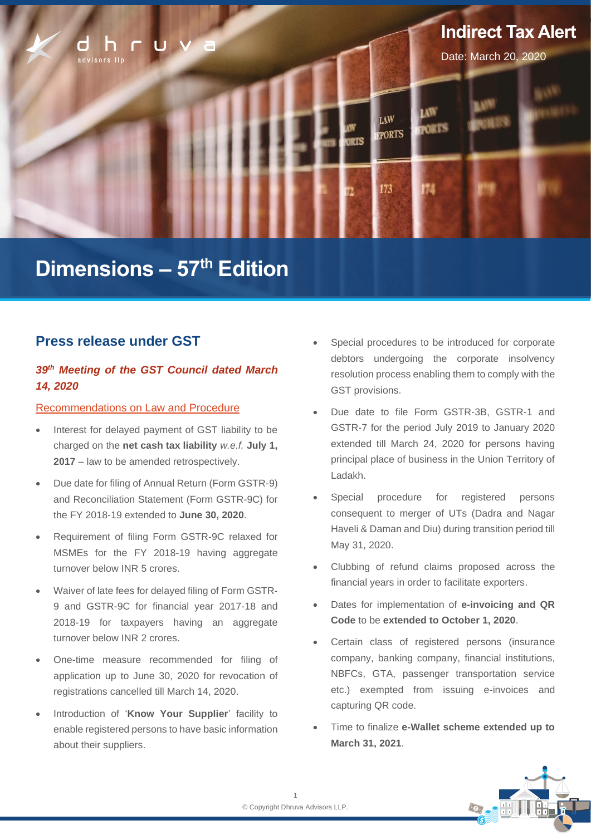

# **Dimensions – 57 th Edition**

## **Press release under GST**

## *39th Meeting of the GST Council dated March 14, 2020*

### Recommendations on Law and Procedure

- Interest for delayed payment of GST liability to be charged on the **net cash tax liability** *w.e.f.* **July 1, 2017** – law to be amended retrospectively.
- Due date for filing of Annual Return (Form GSTR-9) and Reconciliation Statement (Form GSTR-9C) for the FY 2018-19 extended to **June 30, 2020**.
- Requirement of filing Form GSTR-9C relaxed for MSMEs for the FY 2018-19 having aggregate turnover below INR 5 crores.
- Waiver of late fees for delayed filing of Form GSTR-9 and GSTR-9C for financial year 2017-18 and 2018-19 for taxpayers having an aggregate turnover below INR 2 crores.
- One-time measure recommended for filing of application up to June 30, 2020 for revocation of registrations cancelled till March 14, 2020.
- Introduction of '**Know Your Supplier**' facility to enable registered persons to have basic information about their suppliers.
- Special procedures to be introduced for corporate debtors undergoing the corporate insolvency resolution process enabling them to comply with the GST provisions.
- Due date to file Form GSTR-3B, GSTR-1 and GSTR-7 for the period July 2019 to January 2020 extended till March 24, 2020 for persons having principal place of business in the Union Territory of Ladakh.
- Special procedure for registered persons consequent to merger of UTs (Dadra and Nagar Haveli & Daman and Diu) during transition period till May 31, 2020.
- Clubbing of refund claims proposed across the financial years in order to facilitate exporters.
- Dates for implementation of **e-invoicing and QR Code** to be **extended to October 1, 2020**.
- Certain class of registered persons (insurance company, banking company, financial institutions, NBFCs, GTA, passenger transportation service etc.) exempted from issuing e-invoices and capturing QR code.
- Time to finalize **e-Wallet scheme extended up to March 31, 2021**.

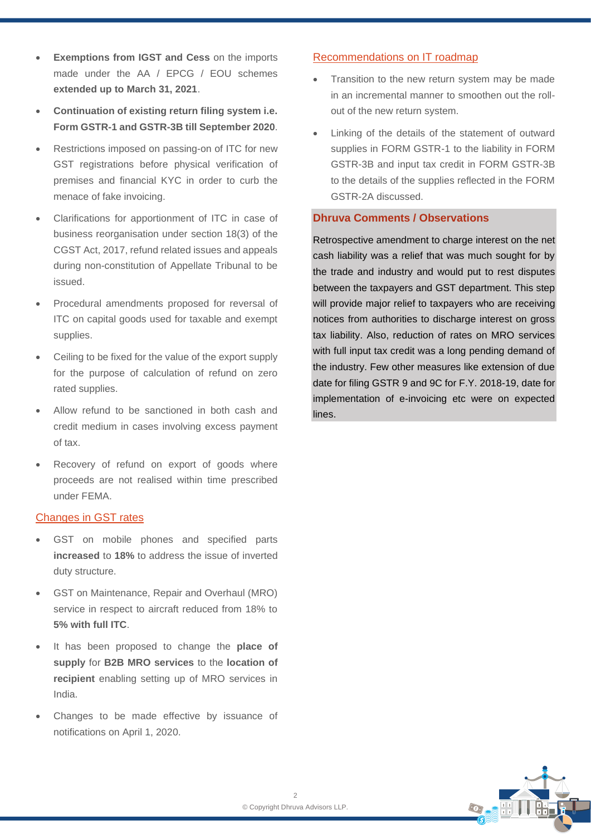- **Exemptions from IGST and Cess on the imports** made under the AA / FPCG / FOU schemes **extended up to March 31, 2021**.
- **Continuation of existing return filing system i.e. Form GSTR-1 and GSTR-3B till September 2020**.
- Restrictions imposed on passing-on of ITC for new GST registrations before physical verification of premises and financial KYC in order to curb the menace of fake invoicing.
- Clarifications for apportionment of ITC in case of business reorganisation under section 18(3) of the CGST Act, 2017, refund related issues and appeals during non-constitution of Appellate Tribunal to be issued.
- Procedural amendments proposed for reversal of ITC on capital goods used for taxable and exempt supplies.
- Ceiling to be fixed for the value of the export supply for the purpose of calculation of refund on zero rated supplies.
- Allow refund to be sanctioned in both cash and credit medium in cases involving excess payment of tax.
- Recovery of refund on export of goods where proceeds are not realised within time prescribed under FEMA.

### Changes in GST rates

- GST on mobile phones and specified parts **increased** to **18%** to address the issue of inverted duty structure.
- GST on Maintenance, Repair and Overhaul (MRO) service in respect to aircraft reduced from 18% to **5% with full ITC**.
- It has been proposed to change the **place of supply** for **B2B MRO services** to the **location of recipient** enabling setting up of MRO services in India.
- Changes to be made effective by issuance of notifications on April 1, 2020.

## Recommendations on IT roadmap

- Transition to the new return system may be made in an incremental manner to smoothen out the rollout of the new return system.
- Linking of the details of the statement of outward supplies in FORM GSTR-1 to the liability in FORM GSTR-3B and input tax credit in FORM GSTR-3B to the details of the supplies reflected in the FORM GSTR-2A discussed.

## **Dhruva Comments / Observations**

Retrospective amendment to charge interest on the net cash liability was a relief that was much sought for by the trade and industry and would put to rest disputes between the taxpayers and GST department. This step will provide major relief to taxpayers who are receiving notices from authorities to discharge interest on gross tax liability. Also, reduction of rates on MRO services with full input tax credit was a long pending demand of the industry. Few other measures like extension of due date for filing GSTR 9 and 9C for F.Y. 2018-19, date for implementation of e-invoicing etc were on expected lines.